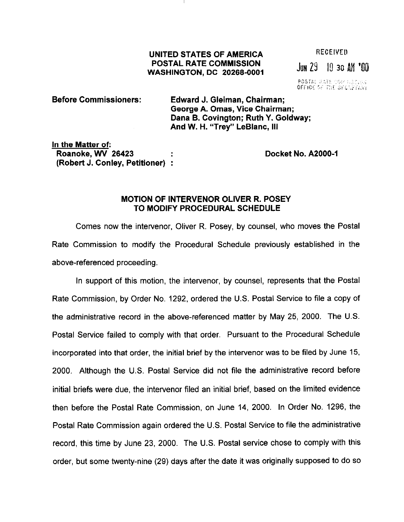## UNITED STATES OF AMERICA POSTAL RATE COMMISSION WASHINGTON, DC 20266-0001

**RECEIVED**  $J_{\text{UM}}$  29 10 30  $M_{\text{M}}$   $^{\prime}00$ 

**POSTAL RATE COM NSCIUN**<br>OFFICE OF THE SECAPTARY

## Before Commissioners: Edward J. Gleiman, Chairman; George A. Omas, Vice Chairman; Dana B. Covington; Ruth Y. Goldway; And W. H. "Trey" LeBlanc, Ill

In the Matter of: Roanoke, WV 26423 (Robert J. Conley, Petitioner) :

Docket No. A2000-1

## MOTION OF INTERVENOR OLIVER R. POSEY TO MODIFY PROCEDURAL SCHEDULE

Comes now the intervenor, Oliver R. Posey, by counsel, who moves the Postal Rate Commission to modify the Procedural Schedule previously established in the above-referenced proceeding.

In support of this motion, the intervenor, by counsel, represents that the Postal Rate Commission, by Order No. 1292, ordered the U.S. Postal Service to file a copy of the administrative record in the above-referenced matter by May 25, 2000. The U.S. Postal Service failed to comply with that order. Pursuant to the Procedural Schedule incorporated into that order, the initial brief by the intervenor was to be filed by June 15, 2000. Although the U.S. Postal Service did not file the administrative record before initial briefs were due, the intervenor filed an initial brief, based on the limited evidence then before the Postal Rate Commission, on June 14, 2000. In Order No. 1296, the Postal Rate Commission again ordered the U.S. Postal Service to file the administrative record, this time by June 23, 2000. The U.S. Postal service chose to comply with this order, but some twenty-nine (29) days after the date it was originally supposed to do SO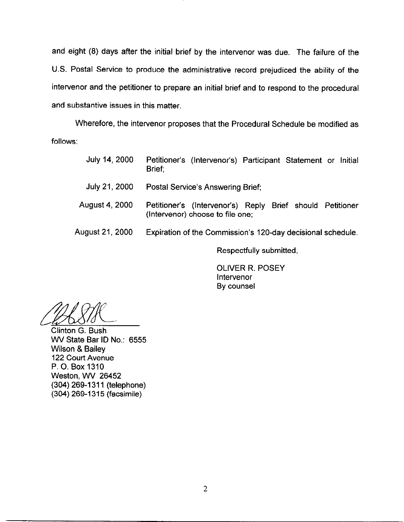and eight (8) days after the initial brief by the intervenor was due. The failure of the US. Postal Service to produce the administrative record prejudiced the ability of the intervenor and the petitioner to prepare an initial brief and to respond to the procedural and substantive issues in this matter.

Wherefore, the intervenor proposes that the Procedural Schedule be modified as follows:

| July 14, 2000   | Petitioner's (Intervenor's) Participant Statement or Initial<br>Brief:                        |
|-----------------|-----------------------------------------------------------------------------------------------|
| July 21, 2000   | Postal Service's Answering Brief;                                                             |
| August 4, 2000  | Petitioner's (Intervenor's) Reply Brief should Petitioner<br>(Intervenor) choose to file one; |
| August 21, 2000 | Expiration of the Commission's 120-day decisional schedule.                                   |

Respectfully submitted,

OLIVER R. POSEY lntervenor By counsel

abSTR

Clinton G. Bush WV State Bar ID No.: 6555 Wilson & Bailey 122 Court Avenue P. 0. Box 1310 Weston, WV 26452 (304) 269-1311 (telephone) (304) 269-l 315 (facsimile)